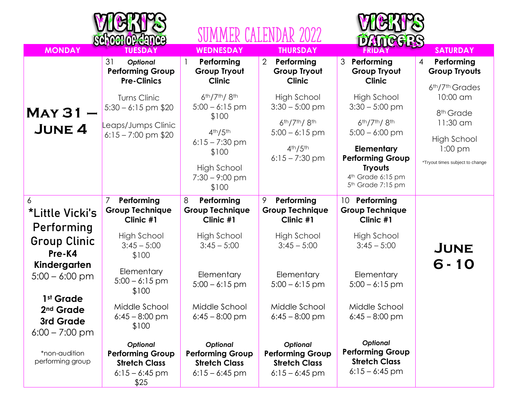|                                                                                                                     | <b>RGYOGHOPGA</b>                                                                               |                                                                                                                                                       |                                                                                                                                     |                                                                                                                                                                                |                                                                                                              |
|---------------------------------------------------------------------------------------------------------------------|-------------------------------------------------------------------------------------------------|-------------------------------------------------------------------------------------------------------------------------------------------------------|-------------------------------------------------------------------------------------------------------------------------------------|--------------------------------------------------------------------------------------------------------------------------------------------------------------------------------|--------------------------------------------------------------------------------------------------------------|
| <b>MONDAY</b>                                                                                                       | <b>TUESDAY</b>                                                                                  | <b>WEDNESDAY</b>                                                                                                                                      | <b>THURSDAY</b>                                                                                                                     | <b>LATGGRS</b><br>FRIDA                                                                                                                                                        | <b>SATURDAY</b>                                                                                              |
|                                                                                                                     | 31<br><b>Optional</b><br><b>Performing Group</b><br><b>Pre-Clinics</b>                          | Performing<br><b>Group Tryout</b><br><b>Clinic</b>                                                                                                    | $\overline{2}$<br>Performing<br><b>Group Tryout</b><br><b>Clinic</b>                                                                | 3 Performing<br><b>Group Tryout</b><br><b>Clinic</b>                                                                                                                           | $\overline{4}$<br>Performing<br><b>Group Tryouts</b><br>6th/7th Grades                                       |
| $MAY31 -$<br><b>JUNE 4</b>                                                                                          | Turns Clinic<br>$5:30 - 6:15$ pm \$20<br>Leaps/Jumps Clinic<br>$6:15 - 7:00$ pm \$20            | 6th/7th/8th<br>$5:00 - 6:15$ pm<br>\$100<br>4 <sup>th</sup> /5 <sup>th</sup><br>$6:15 - 7:30$ pm<br>\$100<br>High School<br>$7:30 - 9:00$ pm<br>\$100 | <b>High School</b><br>$3:30 - 5:00$ pm<br>$6th/7th/8th$<br>$5:00 - 6:15$ pm<br>4 <sup>th</sup> /5 <sup>th</sup><br>$6:15 - 7:30$ pm | <b>High School</b><br>$3:30 - 5:00$ pm<br>6th/7th/8th<br>$5:00 - 6:00$ pm<br>Elementary<br><b>Performing Group</b><br><b>Tryouts</b><br>4th Grade 6:15 pm<br>5th Grade 7:15 pm | 10:00 am<br>8 <sup>th</sup> Grade<br>11:30 am<br>High School<br>$1:00$ pm<br>*Tryout times subject to change |
| 6<br>*Little Vicki's<br>Performing<br><b>Group Clinic</b><br>Pre-K4                                                 | 7<br>Performing<br><b>Group Technique</b><br>Clinic #1<br>High School<br>$3:45 - 5:00$<br>\$100 | 8<br>Performing<br><b>Group Technique</b><br>Clinic #1<br>High School<br>$3:45 - 5:00$                                                                | 9<br>Performing<br><b>Group Technique</b><br>Clinic #1<br><b>High School</b><br>$3:45 - 5:00$                                       | 10<br>Performing<br><b>Group Technique</b><br>Clinic #1<br>High School<br>$3:45 - 5:00$                                                                                        | <b>JUNE</b>                                                                                                  |
| Kindergarten<br>$5:00 - 6:00$ pm<br>1 <sup>st</sup> Grade<br>2 <sup>nd</sup> Grade<br>3rd Grade<br>$6:00 - 7:00$ pm | Elementary<br>$5:00 - 6:15$ pm<br>\$100<br>Middle School<br>$6:45 - 8:00$ pm<br>\$100           | Elementary<br>$5:00 - 6:15$ pm<br>Middle School<br>$6:45 - 8:00$ pm                                                                                   | Elementary<br>$5:00 - 6:15$ pm<br>Middle School<br>$6:45 - 8:00$ pm                                                                 | Elementary<br>$5:00 - 6:15$ pm<br>Middle School<br>$6:45 - 8:00$ pm                                                                                                            | $6 - 10$                                                                                                     |
| *non-audition<br>performing group                                                                                   | <b>Optional</b><br><b>Performing Group</b><br><b>Stretch Class</b><br>$6:15 - 6:45$ pm<br>\$25  | Optional<br><b>Performing Group</b><br><b>Stretch Class</b><br>$6:15 - 6:45$ pm                                                                       | <b>Optional</b><br><b>Performing Group</b><br><b>Stretch Class</b><br>$6:15 - 6:45$ pm                                              | Optional<br><b>Performing Group</b><br><b>Stretch Class</b><br>$6:15 - 6:45$ pm                                                                                                |                                                                                                              |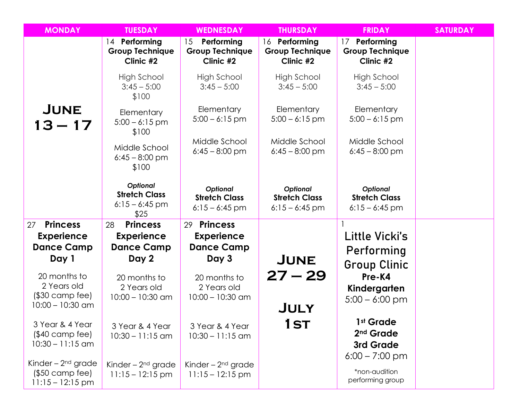| <b>MONDAY</b>                                                         | <b>TUESDAY</b>                                                     | <b>WEDNESDAY</b>                                            | <b>THURSDAY</b>                                             | <b>FRIDAY</b>                                                       | <b>SATURDAY</b> |
|-----------------------------------------------------------------------|--------------------------------------------------------------------|-------------------------------------------------------------|-------------------------------------------------------------|---------------------------------------------------------------------|-----------------|
|                                                                       | Performing<br>$ 4\rangle$<br><b>Group Technique</b><br>Clinic $#2$ | Performing<br>15<br><b>Group Technique</b><br>Clinic #2     | 16 Performing<br><b>Group Technique</b><br>Clinic #2        | Performing<br>17<br><b>Group Technique</b><br>Clinic #2             |                 |
|                                                                       | High School<br>$3:45 - 5:00$<br>\$100                              | High School<br>$3:45 - 5:00$                                | High School<br>$3:45 - 5:00$                                | High School<br>$3:45 - 5:00$                                        |                 |
| JUNE<br>$13 - 17$                                                     | Elementary<br>$5:00 - 6:15$ pm<br>\$100                            | Elementary<br>$5:00 - 6:15$ pm                              | Elementary<br>$5:00 - 6:15$ pm                              | Elementary<br>$5:00 - 6:15$ pm                                      |                 |
|                                                                       | Middle School<br>$6:45 - 8:00$ pm<br>\$100                         | Middle School<br>$6:45 - 8:00$ pm                           | Middle School<br>$6:45 - 8:00$ pm                           | Middle School<br>$6:45 - 8:00$ pm                                   |                 |
|                                                                       | Optional<br><b>Stretch Class</b><br>$6:15 - 6:45$ pm<br>\$25       | <b>Optional</b><br><b>Stretch Class</b><br>$6:15 - 6:45$ pm | <b>Optional</b><br><b>Stretch Class</b><br>$6:15 - 6:45$ pm | <b>Optional</b><br><b>Stretch Class</b><br>$6:15 - 6:45$ pm         |                 |
| <b>Princess</b><br>27                                                 | <b>Princess</b><br>28                                              | <b>Princess</b><br>29                                       |                                                             |                                                                     |                 |
| <b>Experience</b>                                                     | <b>Experience</b>                                                  | <b>Experience</b>                                           |                                                             | Little Vicki's                                                      |                 |
| <b>Dance Camp</b>                                                     | <b>Dance Camp</b>                                                  | <b>Dance Camp</b>                                           |                                                             | Performing                                                          |                 |
| Day 1                                                                 | Day 2                                                              | Day 3                                                       | <b>JUNE</b>                                                 | <b>Group Clinic</b>                                                 |                 |
| 20 months to<br>2 Years old<br>$($30$ camp fee)<br>$10:00 - 10:30$ am | 20 months to<br>2 Years old<br>$10:00 - 10:30$ am                  | 20 months to<br>2 Years old<br>$10:00 - 10:30$ am           | $27 - 29$<br><b>JULY</b>                                    | Pre-K4<br>Kindergarten<br>$5:00 - 6:00$ pm                          |                 |
| 3 Year & 4 Year<br>$($40$ camp fee)<br>$10:30 - 11:15$ am             | 3 Year & 4 Year<br>$10:30 - 11:15$ am                              | 3 Year & 4 Year<br>$10:30 - 11:15$ am                       | <b>1ST</b>                                                  | 1st Grade<br>2 <sup>nd</sup> Grade<br>3rd Grade<br>$6:00 - 7:00$ pm |                 |
| Kinder – $2nd$ grade<br>$($50$ camp fee)<br>$11:15 - 12:15$ pm        | Kinder – $2nd$ grade<br>$11:15 - 12:15$ pm                         | Kinder – $2nd$ grade<br>$11:15 - 12:15$ pm                  |                                                             | *non-audition<br>performing group                                   |                 |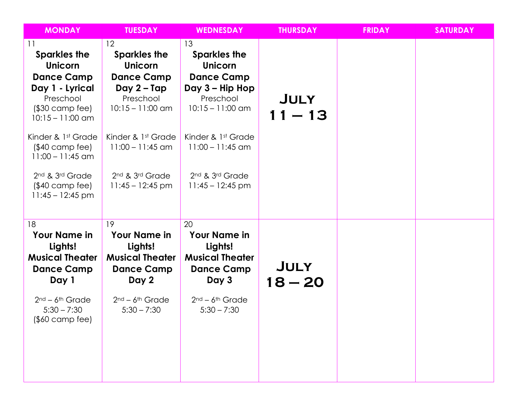| <b>MONDAY</b>                                                                                                                                                                                                                                                           | <b>TUESDAY</b>                                                                                                                                                                                          | <b>WEDNESDAY</b>                                                                                                                                                                                                                    | <b>THURSDAY</b>          | <b>FRIDAY</b> | <b>SATURDAY</b> |
|-------------------------------------------------------------------------------------------------------------------------------------------------------------------------------------------------------------------------------------------------------------------------|---------------------------------------------------------------------------------------------------------------------------------------------------------------------------------------------------------|-------------------------------------------------------------------------------------------------------------------------------------------------------------------------------------------------------------------------------------|--------------------------|---------------|-----------------|
| 11<br><b>Sparkles the</b><br><b>Unicorn</b><br><b>Dance Camp</b><br>Day 1 - Lyrical<br>Preschool<br>$($30$ camp fee)<br>$10:15 - 11:00$ am<br>Kinder & 1st Grade<br>$($40$ camp fee)<br>$11:00 - 11:45$ am<br>2nd & 3rd Grade<br>$($40$ camp fee)<br>$11:45 - 12:45$ pm | 12<br><b>Sparkles the</b><br><b>Unicorn</b><br><b>Dance Camp</b><br>Day 2 – Tap<br>Preschool<br>$10:15 - 11:00$ am<br>Kinder & 1st Grade<br>$11:00 - 11:45$ am<br>2nd & 3rd Grade<br>$11:45 - 12:45$ pm | 13<br><b>Sparkles the</b><br><b>Unicorn</b><br><b>Dance Camp</b><br>Day 3 – Hip Hop<br>Preschool<br>$10:15 - 11:00$ am<br>Kinder & 1st Grade<br>$11:00 - 11:45$ am<br>2 <sup>nd</sup> & 3 <sup>rd</sup> Grade<br>$11:45 - 12:45$ pm | <b>JULY</b><br>$11 - 13$ |               |                 |
| 18<br><b>Your Name in</b><br>Lights!<br><b>Musical Theater</b><br><b>Dance Camp</b><br>Day 1<br>$2nd - 6th$ Grade<br>$5:30 - 7:30$<br>$($0 \text{ camp fee})$                                                                                                           | 19<br><b>Your Name in</b><br>Lights!<br><b>Musical Theater</b><br><b>Dance Camp</b><br>Day 2<br>$2nd - 6th$ Grade<br>$5:30 - 7:30$                                                                      | 20<br><b>Your Name in</b><br>Lights!<br><b>Musical Theater</b><br><b>Dance Camp</b><br>Day 3<br>$2nd - 6th$ Grade<br>$5:30 - 7:30$                                                                                                  | <b>JULY</b><br>$18 - 20$ |               |                 |